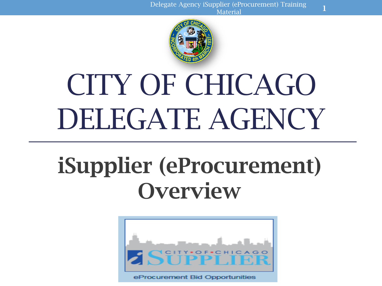

# CITY OF CHICAGO DELEGATE AGENCY

## iSupplier (eProcurement) **Overview**

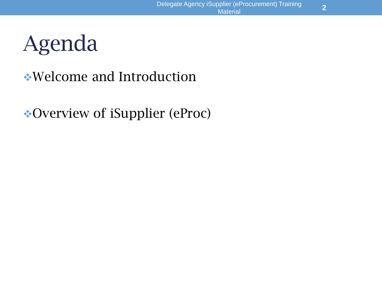## Agenda

### Welcome and Introduction

### Overview of iSupplier (eProc)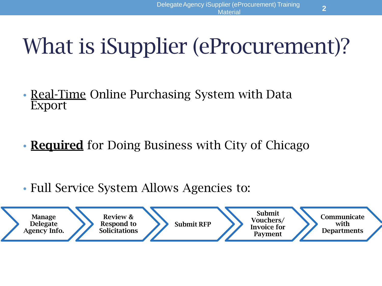## What is iSupplier (eProcurement)?

- Real-Time Online Purchasing System with Data Export
- **Required** for Doing Business with City of Chicago
- Full Service System Allows Agencies to:

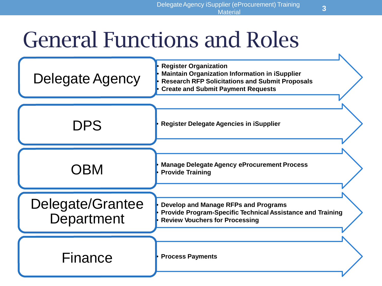## General Functions and Roles

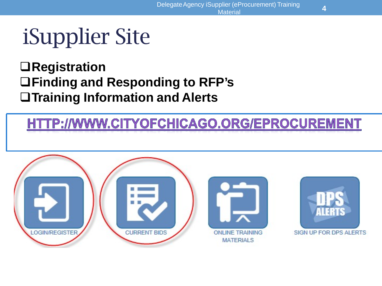## iSupplier Site

### **Registration Finding and Responding to RFP's Training Information and Alerts**

### HTTP://WWW.CITYOFCHICAGO.ORG/EPROCUREMENT

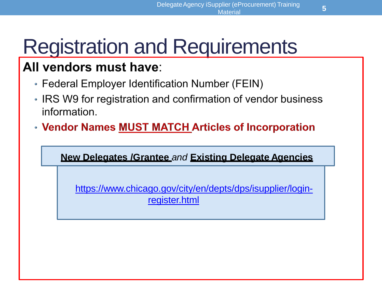## Registration and Requirements

### All vendors must have:

- Federal Employer Identification Number (FEIN)
- IRS W9 for registration and confirmation of vendor business information.
- Vendor Names MUST MATCH Articles of Incorporation

**New Delegates /Grantee** *and* **Existing Delegate Agencies**

[https://www.chicago.gov/city/en/depts/dps/isupplier/login](https://www.chicago.gov/city/en/depts/dps/isupplier/login-register.html)register.html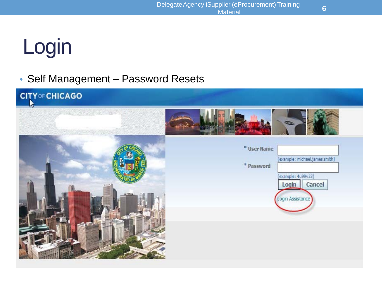## Login

### • Self Management – Password Resets



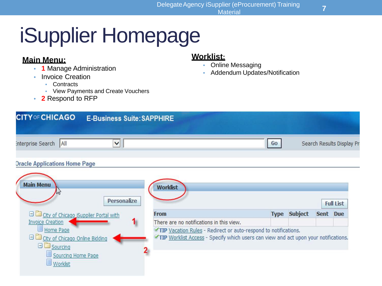## iSupplier Homepage

#### **Main Menu:**

- **1** Manage Administration
- Invoice Creation
	- Contracts
	- View Payments and Create Vouchers
- **2** Respond to RFP

#### **Worklist:**

- Online Messaging
- Addendum Updates/Notification

| <b>CITY OF CHICAGO</b> | <b>E-Business Suite: SAPPHIRE</b> |    |                           |
|------------------------|-----------------------------------|----|---------------------------|
| interprise Search All  | $\vee$                            | Go | Search Results Display Pr |
|                        |                                   |    |                           |

#### **Dracle Applications Home Page**

| <b>Personalize</b>                                                                                         | <b>Worklist</b>                                                                                                                                        |             |                |             | <b>Full List</b> |
|------------------------------------------------------------------------------------------------------------|--------------------------------------------------------------------------------------------------------------------------------------------------------|-------------|----------------|-------------|------------------|
| <b>El City of Chicago Supplier Portal with</b>                                                             | <b>From</b>                                                                                                                                            | <b>Type</b> | <b>Subject</b> | <b>Sent</b> | Due              |
| 1<br><b>Invoice Creation</b>                                                                               | There are no notifications in this view.                                                                                                               |             |                |             |                  |
| Home Page<br><b>El City of Chicago Online Bidding</b><br>$\Box$ Sourcing<br>Sourcing Home Page<br>Worklist | TIP Vacation Rules - Redirect or auto-respond to notifications.<br>TIP Worklist Access - Specify which users can view and act upon your notifications. |             |                |             |                  |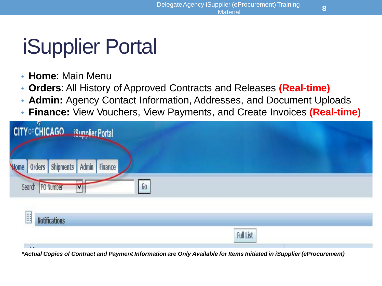### iSupplier Portal

- **Home**: Main Menu
- **Orders**: All History of Approved Contracts and Releases (Real-time)
- **Admin:** Agency Contact Information, Addresses, and Document Uploads
- **Finance:** View Vouchers, View Payments, and Create Invoices **(Real-time)**

| <b>CITY OF CHICAGO</b> iSupplier Portal           |                  |  |
|---------------------------------------------------|------------------|--|
| Orders Shipments<br>Admin<br>Finance<br>Home      |                  |  |
| Search PO Number<br>Go<br>$\overline{\mathbf{v}}$ |                  |  |
| E<br><b>Notifications</b>                         |                  |  |
| <b>Links</b>                                      | <b>Full List</b> |  |

*\*Actual Copies of Contract and Payment Information are Only Available for Items Initiated in iSupplier (eProcurement)*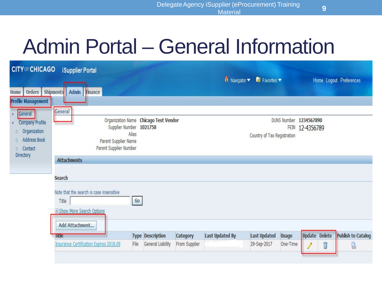### Admin Portal – General Information

| <b>CITY OF CHICAGO</b>                                                                                                                                      |                                                                                                | $\overline{\mathsf{n}}$ Navigator $\overline{\mathsf{m}}$ Favorites $\overline{\mathsf{m}}$ |               |                        | Home Logout Preferences     |              |                                           |                           |  |  |
|-------------------------------------------------------------------------------------------------------------------------------------------------------------|------------------------------------------------------------------------------------------------|---------------------------------------------------------------------------------------------|---------------|------------------------|-----------------------------|--------------|-------------------------------------------|---------------------------|--|--|
| Home  <br><b>Profile Management</b><br>General<br><b>Company Profile</b><br>Organization<br>$\circ$<br><b>Address Book</b><br>$\circ$<br>Contact<br>$\circ$ | Finance<br>Orders Shipments Admin<br>General<br>Parent Supplier Name<br>Parent Supplier Number | Organization Name Chicago Test Vendor<br>Supplier Number 1021758<br>Alias                   |               |                        | Country of Tax Registration |              | DUNS Number 1234567890<br>FEIN 12-4356789 |                           |  |  |
| Directory                                                                                                                                                   | <b>Attachments</b>                                                                             |                                                                                             |               |                        |                             |              |                                           |                           |  |  |
|                                                                                                                                                             | <b>Search</b>                                                                                  |                                                                                             |               |                        |                             |              |                                           |                           |  |  |
|                                                                                                                                                             | Note that the search is case insensitive<br>Go<br>Title<br>E Show More Search Options          |                                                                                             |               |                        |                             |              |                                           |                           |  |  |
|                                                                                                                                                             | Add Attachment                                                                                 |                                                                                             |               |                        |                             |              |                                           |                           |  |  |
|                                                                                                                                                             | Title                                                                                          | <b>Type Description</b>                                                                     | Category      | <b>Last Updated By</b> | <b>Last Updated</b>         | <b>Usage</b> | <b>Update Delete</b>                      | <b>Publish to Catalog</b> |  |  |
|                                                                                                                                                             | <b>Insurance Certification Expires 2018.09</b>                                                 | General Liability<br>File                                                                   | From Supplier |                        | 29-Sep-2017                 | One-Time     |                                           | 恳<br>Î                    |  |  |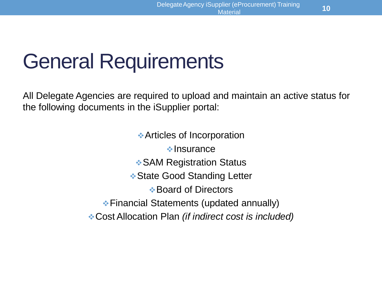### General Requirements

All Delegate Agencies are required to upload and maintain an active status for the following documents in the iSupplier portal:

> Articles of Incorporation  $\cdot$ Insurance  **• SAM Registration Status ❖ State Good Standing Letter Board of Directors** Financial Statements (updated annually) Cost Allocation Plan *(if indirect cost is included)*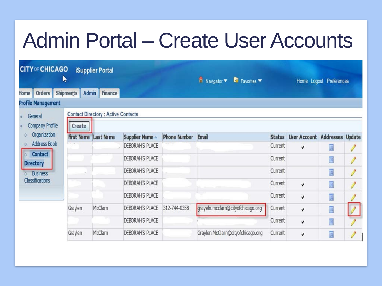### Admin Portal – Create User Accounts

| <b>CITY OF CHICAGO</b>                                                                                     | π                  | <b>iSupplier Portal</b>                   |                        |                     | n Navigator v <b>R</b> Favorites v |               |                               | Home Logout Preferences |   |
|------------------------------------------------------------------------------------------------------------|--------------------|-------------------------------------------|------------------------|---------------------|------------------------------------|---------------|-------------------------------|-------------------------|---|
| Orders<br>Home                                                                                             | Admin<br>Shipments | Finance                                   |                        |                     |                                    |               |                               |                         |   |
| <b>Profile Management</b>                                                                                  |                    |                                           |                        |                     |                                    |               |                               |                         |   |
| General                                                                                                    |                    | <b>Contact Directory: Active Contacts</b> |                        |                     |                                    |               |                               |                         |   |
| Company Profile                                                                                            | Create             |                                           |                        |                     |                                    |               |                               |                         |   |
| Organization<br>$\circ$                                                                                    |                    | <b>First Name Last Name</b>               | Supplier Name -        | <b>Phone Number</b> | Email                              | <b>Status</b> | User Account Addresses Update |                         |   |
| <b>Address Book</b><br>O.<br>Contact<br>$\Omega$<br><b>Directory</b><br><b>Business</b><br>Classifications |                    |                                           | <b>DEBORAH'S PLACE</b> |                     |                                    | Current       | v                             | ē                       |   |
|                                                                                                            |                    |                                           | DEBORAH'S PLACE        |                     |                                    | Current       |                               | ē                       | I |
|                                                                                                            |                    |                                           | DEBORAH'S PLACE        |                     |                                    | Current       |                               | Ē                       | I |
|                                                                                                            |                    |                                           | DEBORAH'S PLACE        |                     |                                    | Current       | v                             | Ā                       | V |
|                                                                                                            |                    |                                           | DEBORAH'S PLACE        |                     |                                    | Current       | v                             | 画                       |   |
|                                                                                                            | Graylen            | McClarn                                   | DEBORAH'S PLACE        | 312-744-0358        | grayeln.mcclarn@cityofchicago.org  | Current       | v                             | Ē                       |   |
|                                                                                                            |                    |                                           | DEBORAH'S PLACE        |                     |                                    | Current       | v                             | Ţ                       |   |
|                                                                                                            | Graylen            | McClarn                                   | <b>DEBORAH'S PLACE</b> |                     | Graylen.McClarn@cityofchicago.org  | Current       | v                             | 画                       |   |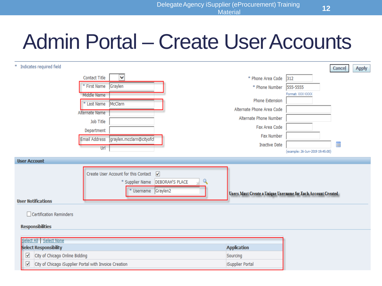### Admin Portal – Create User Accounts

| Indicates required field<br>≉.                                                                                                                                                                                            |                                                                                                              | <b>Cance</b><br><b>Apply</b>                                 |
|---------------------------------------------------------------------------------------------------------------------------------------------------------------------------------------------------------------------------|--------------------------------------------------------------------------------------------------------------|--------------------------------------------------------------|
| $\checkmark$<br><b>Contact Title</b>                                                                                                                                                                                      | * Phone Area Code 312                                                                                        |                                                              |
| <b>First Name</b><br>Graylen                                                                                                                                                                                              | * Phone Number                                                                                               | 555-5555                                                     |
| Middle Name<br>* Last Name   McClarn<br>Alternate Name<br>Job Title<br>Department<br><b>Email Address</b><br>graylen.mcclarn@cityofcl                                                                                     | <b>Phone Extension</b><br>Alternate Phone Area Code<br>Alternate Phone Number<br>Fax Area Code<br>Fax Number | Format: XXX-XXXX                                             |
| Url                                                                                                                                                                                                                       | <b>Inactive Date</b>                                                                                         | E                                                            |
| <b>User Account</b>                                                                                                                                                                                                       |                                                                                                              | (example: 26-Jun-2019 19:45:00)                              |
| Create User Account for this Contact V<br>* Supplier Name<br><b>DEBORAH'S PLACE</b><br>* Username Graylen2<br><b>User Notifications</b><br>□ Certification Reminders<br><b>Responsibilities</b><br>Select All Select None |                                                                                                              | Users Must Create a Unique Username for Each Account Created |
| Select Responsibility                                                                                                                                                                                                     | <b>Application</b>                                                                                           |                                                              |
| $\blacktriangledown$<br>City of Chicago Online Bidding                                                                                                                                                                    | Sourcing                                                                                                     |                                                              |
| $\blacktriangledown$<br>City of Chicago iSupplier Portal with Invoice Creation                                                                                                                                            | iSupplier Portal                                                                                             |                                                              |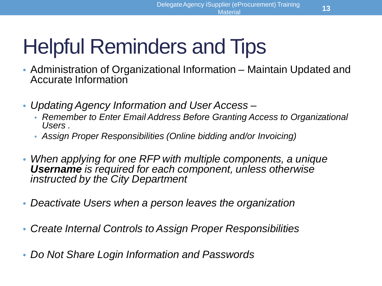## Helpful Reminders and Tips

- Administration of Organizational Information Maintain Updated and Accurate Information
- *Updating Agency Information and User Access –*
	- *Remember to Enter Email Address Before Granting Access to Organizational Users .*
	- *Assign Proper Responsibilities (Online bidding and/or Invoicing)*
- *When applying for one RFP with multiple components, a unique Username is required for each component, unless otherwise instructed by the City Department*
- *Deactivate Users when a person leaves the organization*
- *Create Internal Controls to Assign Proper Responsibilities*
- *Do Not Share Login Information and Passwords*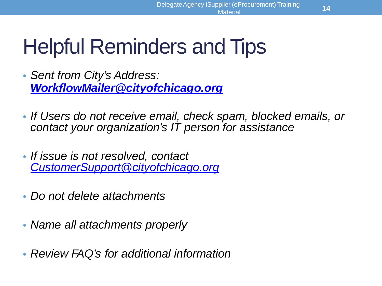## Helpful Reminders and Tips

- *Sent from City's Address: [WorkflowMailer@cityofchicago.org](mailto:WorkflowMailer@cityofchicago.org)*
- *If Users do not receive email, check spam, blocked emails, or contact your organization's IT person for assistance*
- *If issue is not resolved, contact [CustomerSupport@cityofchicago.org](mailto:CustomerSupport@cityofchicago.org)*
- *Do not delete attachments*
- *Name all attachments properly*
- *Review FAQ's for additional information*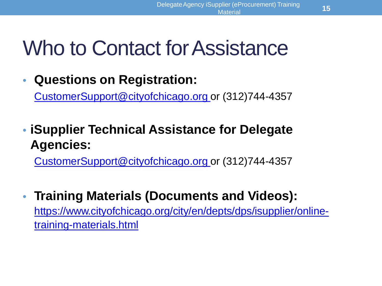### Who to Contact for Assistance

• **Questions on Registration:**

[CustomerSupport@cityofchicago.org](mailto:CustomerSupport@cityofchicago.org) or (312)744-4357

• **iSupplier Technical Assistance for Delegate Agencies:**

[CustomerSupport@cityofchicago.org](mailto:CustomerSupport@cityofchicago.org) or (312)744-4357

• **Training Materials (Documents and Videos):**  [https://www.cityofchicago.org/city/en/depts/dps/isupplier/online](https://www.cityofchicago.org/city/en/depts/dps/isupplier/online-training-materials.html)training-materials.html